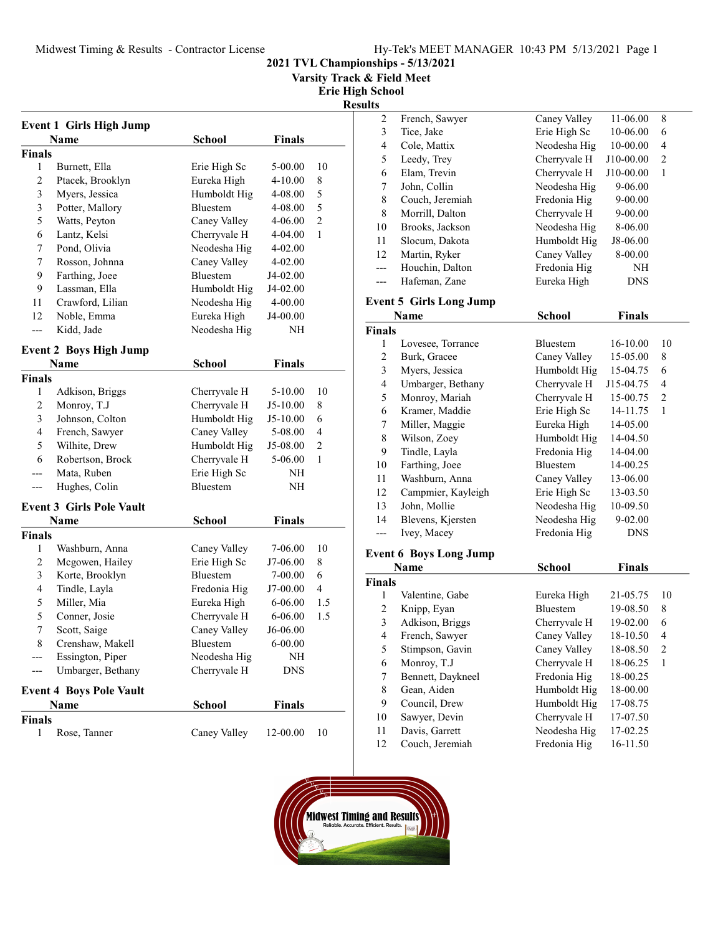Varsity Track & Field Meet

Erie High School

Results

| <b>Event 1 Girls High Jump</b>  |                                 |              |               |                |  |  |
|---------------------------------|---------------------------------|--------------|---------------|----------------|--|--|
| <b>Finals</b><br>Name<br>School |                                 |              |               |                |  |  |
| <b>Finals</b>                   |                                 |              |               |                |  |  |
| 1                               | Burnett, Ella                   | Erie High Sc | 5-00.00       | 10             |  |  |
| $\overline{c}$                  | Ptacek, Brooklyn                | Eureka High  | $4 - 10.00$   | 8              |  |  |
| $\mathfrak{Z}$                  | Myers, Jessica                  | Humboldt Hig | 4-08.00       | 5              |  |  |
| 3                               | Potter, Mallory                 | Bluestem     | 4-08.00       | 5              |  |  |
| 5                               | Watts, Peyton                   | Caney Valley | 4-06.00       | $\overline{c}$ |  |  |
| 6                               | Lantz, Kelsi                    | Cherryvale H | 4-04.00       | 1              |  |  |
| 7                               | Pond, Olivia                    | Neodesha Hig | 4-02.00       |                |  |  |
| 7                               | Rosson, Johnna                  | Caney Valley | $4 - 02.00$   |                |  |  |
| 9                               | Farthing, Joee                  | Bluestem     | J4-02.00      |                |  |  |
| 9                               | Lassman, Ella                   | Humboldt Hig | J4-02.00      |                |  |  |
| 11                              | Crawford, Lilian                | Neodesha Hig | 4-00.00       |                |  |  |
| 12                              | Noble, Emma                     | Eureka High  | J4-00.00      |                |  |  |
| $---$                           | Kidd, Jade                      | Neodesha Hig | NΗ            |                |  |  |
| <b>Event 2 Boys High Jump</b>   |                                 |              |               |                |  |  |
|                                 | <b>Name</b>                     | School       | Finals        |                |  |  |
| <b>Finals</b>                   |                                 |              |               |                |  |  |
| 1                               | Adkison, Briggs                 | Cherryvale H | 5-10.00       | 10             |  |  |
| $\overline{c}$                  | Monroy, T.J                     | Cherryvale H | $J5-10.00$    | 8              |  |  |
| 3                               | Johnson, Colton                 | Humboldt Hig | $J5-10.00$    | 6              |  |  |
| $\overline{\mathcal{L}}$        | French, Sawyer                  | Caney Valley | 5-08.00       | 4              |  |  |
| 5                               | Wilhite, Drew                   | Humboldt Hig | J5-08.00      | 2              |  |  |
| 6                               | Robertson, Brock                | Cherryvale H | 5-06.00       | 1              |  |  |
| ---                             | Mata, Ruben                     | Erie High Sc | NΗ            |                |  |  |
| ---                             | Hughes, Colin                   | Bluestem     | NΗ            |                |  |  |
|                                 | <b>Event 3 Girls Pole Vault</b> |              |               |                |  |  |
|                                 | Name                            | School       | <b>Finals</b> |                |  |  |
| <b>Finals</b>                   |                                 |              |               |                |  |  |
| 1                               | Washburn, Anna                  | Caney Valley | 7-06.00       | 10             |  |  |
| 2                               | Mcgowen, Hailey                 | Erie High Sc | J7-06.00      | 8              |  |  |
| 3                               | Korte, Brooklyn                 | Bluestem     | $7 - 00.00$   | 6              |  |  |
| 4                               | Tindle, Layla                   | Fredonia Hig | J7-00.00      | 4              |  |  |
| 5                               | Miller, Mia                     | Eureka High  | 6-06.00       | 1.5            |  |  |
| 5                               | Conner, Josie                   | Cherryvale H | 6-06.00       | 1.5            |  |  |
| 7                               | Scott, Saige                    | Caney Valley | J6-06.00      |                |  |  |
| 8                               | Crenshaw, Makell                | Bluestem     | $6 - 00.00$   |                |  |  |
| --                              | Essington, Piper                | Neodesha Hig | NH            |                |  |  |
| ---                             | Umbarger, Bethany               | Cherryvale H | <b>DNS</b>    |                |  |  |
|                                 | <b>Event 4 Boys Pole Vault</b>  |              |               |                |  |  |
|                                 | Name                            | School       | <b>Finals</b> |                |  |  |
| <b>Finals</b>                   |                                 |              |               |                |  |  |
| 1                               | Rose, Tanner                    | Caney Valley | 12-00.00      | 10             |  |  |

| ulto                    |                                |               |               |                |
|-------------------------|--------------------------------|---------------|---------------|----------------|
| 2                       | French, Sawyer                 | Caney Valley  | 11-06.00      | 8              |
| 3                       | Tice, Jake                     | Erie High Sc  | 10-06.00      | 6              |
| $\overline{\mathbf{4}}$ | Cole, Mattix                   | Neodesha Hig  | 10-00.00      | $\overline{4}$ |
| 5                       | Leedy, Trey                    | Cherryvale H  | J10-00.00     | $\mathbf{2}$   |
| 6                       | Elam. Trevin                   | Cherryvale H  | J10-00.00     | $\mathbf{1}$   |
| 7                       | John, Collin                   | Neodesha Hig  | 9-06.00       |                |
| 8                       | Couch, Jeremiah                | Fredonia Hig  | $9 - 00.00$   |                |
| 8                       | Morrill, Dalton                | Cherryvale H  | 9-00.00       |                |
| 10                      | Brooks, Jackson                | Neodesha Hig  | 8-06.00       |                |
| 11                      | Slocum, Dakota                 | Humboldt Hig  | J8-06.00      |                |
| 12                      | Martin, Ryker                  | Caney Valley  | 8-00.00       |                |
| ---                     | Houchin, Dalton                | Fredonia Hig  | NH            |                |
| ---                     | Hafeman, Zane                  | Eureka High   | <b>DNS</b>    |                |
|                         | <b>Event 5 Girls Long Jump</b> |               |               |                |
|                         | Name                           | <b>School</b> | <b>Finals</b> |                |
| <b>Finals</b>           |                                |               |               |                |
| 1                       | Lovesee, Torrance              | Bluestem      | 16-10.00      | 10             |
| 2                       | Burk, Gracee                   | Caney Valley  | 15-05.00      | 8              |
| $\mathfrak{Z}$          | Myers, Jessica                 | Humboldt Hig  | 15-04.75      | 6              |
| $\overline{4}$          | Umbarger, Bethany              | Cherryvale H  | J15-04.75     | $\overline{4}$ |
| 5                       | Monroy, Mariah                 | Cherryvale H  | 15-00.75      | $\overline{c}$ |
| 6                       | Kramer, Maddie                 | Erie High Sc  | 14-11.75      | $\mathbf{1}$   |
| 7                       | Miller, Maggie                 | Eureka High   | 14-05.00      |                |
| $\,$ $\,$               | Wilson, Zoey                   | Humboldt Hig  | 14-04.50      |                |
| 9                       | Tindle, Layla                  | Fredonia Hig  | 14-04.00      |                |
| 10                      | Farthing, Joee                 | Bluestem      | 14-00.25      |                |
| 11                      | Washburn, Anna                 | Caney Valley  | 13-06.00      |                |
| 12                      | Campmier, Kayleigh             | Erie High Sc  | 13-03.50      |                |
| 13                      | John, Mollie                   | Neodesha Hig  | 10-09.50      |                |
| 14                      | Blevens, Kjersten              | Neodesha Hig  | 9-02.00       |                |
| ---                     | Ivey, Macey                    | Fredonia Hig  | <b>DNS</b>    |                |
|                         | <b>Event 6 Boys Long Jump</b>  |               |               |                |
|                         | <b>Name</b>                    | <b>School</b> | <b>Finals</b> |                |
| <b>Finals</b>           |                                |               |               |                |
| 1                       | Valentine, Gabe                | Eureka High   | 21-05.75      | 10             |
| $\overline{2}$          | Knipp, Eyan                    | Bluestem      | 19-08.50      | 8              |
|                         |                                |               |               |                |

3 Adkison, Briggs Cherryvale H 19-02.00 6 4 French, Sawyer Caney Valley 18-10.50 4 5 Stimpson, Gavin Caney Valley 18-08.50 2 6 Monroy, T.J Cherryvale H 18-06.25 1 7 Bennett, Daykneel Fredonia Hig 18-00.25 8 Gean, Aiden Humboldt Hig 18-00.00 9 Council, Drew Humboldt Hig 17-08.75 10 Sawyer, Devin Cherryvale H 17-07.50 11 Davis, Garrett Neodesha Hig 17-02.25 12 Couch, Jeremiah Fredonia Hig 16-11.50

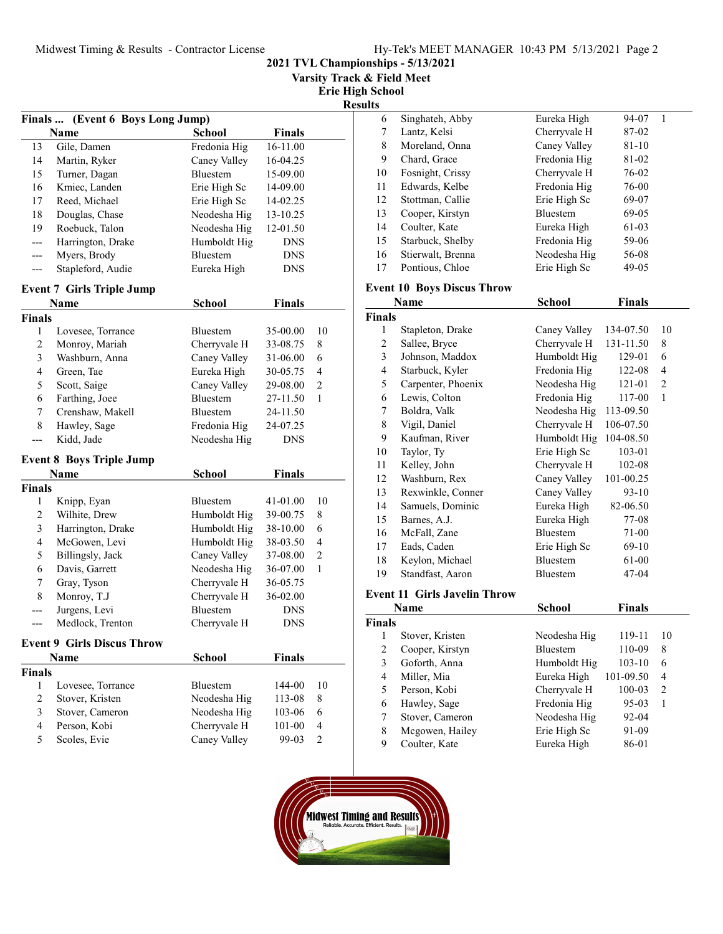2021 TVL Championships - 5/13/2021

Varsity Track & Field Meet

Erie High School

| ш<br>w |
|--------|
|--------|

| Finals  (Event 6 Boys Long Jump) |                                   |                 |               |                |  |
|----------------------------------|-----------------------------------|-----------------|---------------|----------------|--|
|                                  | <b>Name</b>                       | <b>School</b>   | <b>Finals</b> |                |  |
| 13                               | Gile, Damen                       | Fredonia Hig    | 16-11.00      |                |  |
| 14                               | Martin, Ryker                     | Caney Valley    | 16-04.25      |                |  |
| 15                               | Turner, Dagan                     | Bluestem        | 15-09.00      |                |  |
| 16                               | Kmiec, Landen                     | Erie High Sc    | 14-09.00      |                |  |
| 17                               | Reed, Michael                     | Erie High Sc    | 14-02.25      |                |  |
| 18                               | Douglas, Chase                    | Neodesha Hig    | 13-10.25      |                |  |
| 19                               | Roebuck, Talon                    | Neodesha Hig    | 12-01.50      |                |  |
| ---                              | Harrington, Drake                 | Humboldt Hig    | <b>DNS</b>    |                |  |
| ---                              | Myers, Brody                      | Bluestem        | <b>DNS</b>    |                |  |
| ---                              | Stapleford, Audie                 | Eureka High     | DNS           |                |  |
|                                  | <b>Event 7 Girls Triple Jump</b>  |                 |               |                |  |
|                                  | Name                              | <b>School</b>   | <b>Finals</b> |                |  |
| <b>Finals</b>                    |                                   |                 |               |                |  |
| 1                                | Lovesee, Torrance                 | Bluestem        | 35-00.00      | 10             |  |
| 2                                | Monroy, Mariah                    | Cherryvale H    | 33-08.75      | 8              |  |
| 3                                | Washburn, Anna                    | Caney Valley    | 31-06.00      | 6              |  |
| 4                                | Green, Tae                        | Eureka High     | 30-05.75      | 4              |  |
| 5                                | Scott, Saige                      | Caney Valley    | 29-08.00      | 2              |  |
| 6                                | Farthing, Joee                    | Bluestem        | 27-11.50      | 1              |  |
| 7                                | Crenshaw, Makell                  | Bluestem        | 24-11.50      |                |  |
| 8                                | Hawley, Sage                      | Fredonia Hig    | 24-07.25      |                |  |
|                                  | Kidd, Jade                        | Neodesha Hig    | <b>DNS</b>    |                |  |
|                                  | <b>Event 8 Boys Triple Jump</b>   |                 |               |                |  |
|                                  | Name                              | School          | <b>Finals</b> |                |  |
| <b>Finals</b>                    |                                   |                 |               |                |  |
| 1                                | Knipp, Eyan                       | Bluestem        | 41-01.00      | 10             |  |
| 2                                | Wilhite, Drew                     | Humboldt Hig    | 39-00.75      | 8              |  |
| 3                                | Harrington, Drake                 | Humboldt Hig    | 38-10.00      | 6              |  |
| 4                                | McGowen, Levi                     | Humboldt Hig    | 38-03.50      | 4              |  |
| 5                                | Billingsly, Jack                  | Caney Valley    | 37-08.00      | 2              |  |
| 6                                | Davis, Garrett                    | Neodesha Hig    | 36-07.00      | 1              |  |
| 7                                | Gray, Tyson                       | Cherryvale H    | 36-05.75      |                |  |
| 8                                | Monroy, T.J                       | Cherryvale H    | 36-02.00      |                |  |
| ---                              | Jurgens, Levi                     | <b>Bluestem</b> | <b>DNS</b>    |                |  |
| ---                              | Medlock, Trenton                  | Cherryvale H    | <b>DNS</b>    |                |  |
|                                  | <b>Event 9 Girls Discus Throw</b> |                 |               |                |  |
|                                  | Name                              | <b>School</b>   | <b>Finals</b> |                |  |
| <b>Finals</b>                    |                                   |                 |               |                |  |
| 1                                | Lovesee, Torrance                 | Bluestem        | 144-00        | 10             |  |
| $\overline{2}$                   | Stover, Kristen                   | Neodesha Hig    | 113-08        | 8              |  |
| 3                                | Stover, Cameron                   | Neodesha Hig    | 103-06        | 6              |  |
| $\overline{4}$                   | Person, Kobi                      | Cherryvale H    | 101-00        | $\overline{4}$ |  |
| 5                                | Scoles, Evie                      | Caney Valley    | 99-03         | $\overline{c}$ |  |

| ts |                   |                 |           |
|----|-------------------|-----------------|-----------|
| 6  | Singhateh, Abby   | Eureka High     | 94-07     |
| 7  | Lantz, Kelsi      | Cherryvale H    | 87-02     |
| 8  | Moreland, Onna    | Caney Valley    | $81 - 10$ |
| 9  | Chard, Grace      | Fredonia Hig    | 81-02     |
| 10 | Fosnight, Crissy  | Cherryvale H    | 76-02     |
| 11 | Edwards, Kelbe    | Fredonia Hig    | 76-00     |
| 12 | Stottman, Callie  | Erie High Sc    | 69-07     |
| 13 | Cooper, Kirstyn   | <b>Bluestem</b> | 69-05     |
| 14 | Coulter, Kate     | Eureka High     | 61-03     |
| 15 | Starbuck, Shelby  | Fredonia Hig    | 59-06     |
| 16 | Stierwalt, Brenna | Neodesha Hig    | 56-08     |
| 17 | Pontious, Chloe   | Erie High Sc    | 49-05     |
|    |                   |                 |           |

# Event 10 Boys Discus Throw

|                | Name                                                                                                       | School       | <b>Finals</b> |    |
|----------------|------------------------------------------------------------------------------------------------------------|--------------|---------------|----|
| <b>Finals</b>  |                                                                                                            |              |               |    |
| 1              | Stapleton, Drake                                                                                           | Caney Valley | 134-07.50     | 10 |
| 2              | Sallee, Bryce                                                                                              | Cherryvale H | 131-11.50     | 8  |
| 3              | Johnson, Maddox                                                                                            | Humboldt Hig | 129-01        | 6  |
| $\overline{4}$ | Starbuck, Kyler                                                                                            | Fredonia Hig | 122-08        | 4  |
| 5              | Carpenter, Phoenix                                                                                         | Neodesha Hig | 121-01        | 2  |
| 6              | Lewis, Colton                                                                                              | Fredonia Hig | 117-00        | 1  |
| 7              | Boldra, Valk                                                                                               | Neodesha Hig | 113-09.50     |    |
| 8              | Vigil, Daniel                                                                                              | Cherryvale H | 106-07.50     |    |
| 9              | Kaufman, River                                                                                             | Humboldt Hig | 104-08.50     |    |
| 10             | Taylor, Ty                                                                                                 | Erie High Sc | 103-01        |    |
| 11             | Kelley, John                                                                                               | Cherryvale H | 102-08        |    |
| 12             | Washburn, Rex                                                                                              | Caney Valley | 101-00.25     |    |
| 13             | Rexwinkle, Conner                                                                                          | Caney Valley | $93-10$       |    |
| 14             | Samuels, Dominic                                                                                           | Eureka High  | 82-06.50      |    |
| 15             | Barnes, A.J.                                                                                               | Eureka High  | 77-08         |    |
| 16             | McFall, Zane                                                                                               | Bluestem     | 71-00         |    |
| 17             | Eads, Caden                                                                                                | Erie High Sc | 69-10         |    |
| 18             | Keylon, Michael                                                                                            | Bluestem     | 61-00         |    |
| 19             | Standfast, Aaron                                                                                           | Bluestem     | 47-04         |    |
| $\mathbf{r}$   | $\sim$ 11.000 $\sim$ 1.000 $\sim$ 1.000 $\sim$ 1.000 $\sim$ 1.000 $\sim$ 1.000 $\sim$<br>$\mathbf{P}$<br>m |              |               |    |

#### Event 11 Girls Javelin Throw

| Name          |                 | School          | Finals    |                |
|---------------|-----------------|-----------------|-----------|----------------|
| <b>Finals</b> |                 |                 |           |                |
|               | Stover, Kristen | Neodesha Hig    | 119-11    | 10             |
| 2             | Cooper, Kirstyn | <b>Bluestem</b> | 110-09    | 8              |
| 3             | Goforth, Anna   | Humboldt Hig    | $103-10$  | 6              |
| 4             | Miller, Mia     | Eureka High     | 101-09.50 | $\overline{4}$ |
| 5             | Person, Kobi    | Cherryvale H    | 100-03    | 2              |
| 6             | Hawley, Sage    | Fredonia Hig    | $95-03$   | 1              |
|               | Stover, Cameron | Neodesha Hig    | 92-04     |                |
| 8             | Mcgowen, Hailey | Erie High Sc    | 91-09     |                |
| 9             | Coulter, Kate   | Eureka High     | 86-01     |                |

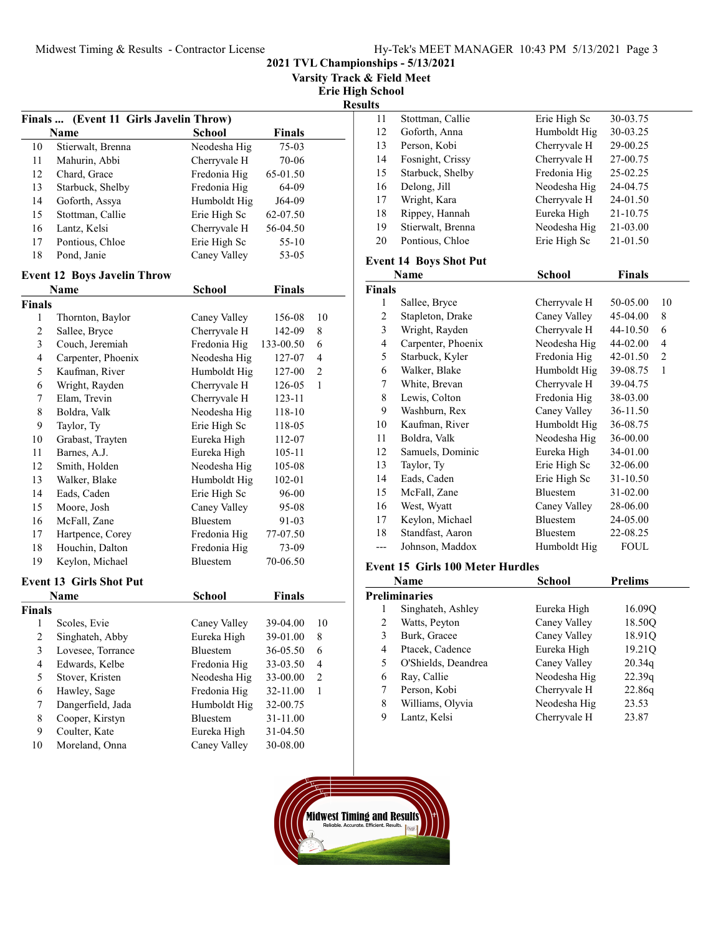| 2021 TVL Championships - 5/13/2021 |  |  |  |  |  |  |
|------------------------------------|--|--|--|--|--|--|
|------------------------------------|--|--|--|--|--|--|

Varsity Track & Field Meet

Erie High School

Result

| Finals  (Event 11 Girls Javelin Throw) |                                    |               |               |                  |  |  |
|----------------------------------------|------------------------------------|---------------|---------------|------------------|--|--|
|                                        | <b>Name</b>                        | <b>School</b> | <b>Finals</b> |                  |  |  |
| 10                                     | Stierwalt, Brenna                  | Neodesha Hig  | $75-03$       |                  |  |  |
| 11                                     | Mahurin, Abbi                      | Cherryvale H  | 70-06         |                  |  |  |
| 12                                     | Chard, Grace                       | Fredonia Hig  | 65-01.50      |                  |  |  |
| 13                                     | Starbuck, Shelby                   | Fredonia Hig  | 64-09         |                  |  |  |
| 14                                     | Goforth, Assya                     | Humboldt Hig  | J64-09        |                  |  |  |
| 15                                     | Stottman, Callie                   | Erie High Sc  | 62-07.50      |                  |  |  |
| 16                                     | Lantz, Kelsi                       | Cherryvale H  | 56-04.50      |                  |  |  |
| 17                                     | Pontious, Chloe                    | Erie High Sc  | 55-10         |                  |  |  |
| 18                                     | Pond, Janie                        | Caney Valley  | 53-05         |                  |  |  |
|                                        | <b>Event 12 Boys Javelin Throw</b> |               |               |                  |  |  |
|                                        | Name                               | School        | <b>Finals</b> |                  |  |  |
| Finals                                 |                                    |               |               |                  |  |  |
| 1                                      | Thornton, Baylor                   | Caney Valley  | 156-08        | 10               |  |  |
| $\overline{c}$                         | Sallee, Bryce                      | Cherryvale H  | 142-09        | 8                |  |  |
| 3                                      | Couch, Jeremiah                    | Fredonia Hig  | 133-00.50     | 6                |  |  |
| $\overline{\mathbf{4}}$                | Carpenter, Phoenix                 | Neodesha Hig  | 127-07        | $\overline{4}$   |  |  |
| 5                                      | Kaufman, River                     | Humboldt Hig  | 127-00        | 2                |  |  |
| 6                                      | Wright, Rayden                     | Cherryvale H  | 126-05        | 1                |  |  |
| 7                                      | Elam, Trevin                       | Cherryvale H  | 123-11        |                  |  |  |
| 8                                      | Boldra, Valk                       | Neodesha Hig  | 118-10        |                  |  |  |
| 9                                      | Taylor, Ty                         | Erie High Sc  | 118-05        |                  |  |  |
| 10                                     | Grabast, Trayten                   | Eureka High   | 112-07        |                  |  |  |
| 11                                     | Barnes, A.J.                       | Eureka High   | 105-11        |                  |  |  |
| 12                                     | Smith, Holden                      | Neodesha Hig  | 105-08        |                  |  |  |
| 13                                     | Walker, Blake                      | Humboldt Hig  | 102-01        |                  |  |  |
| 14                                     | Eads, Caden                        | Erie High Sc  | 96-00         |                  |  |  |
| 15                                     | Moore, Josh                        | Caney Valley  | 95-08         |                  |  |  |
| 16                                     | McFall, Zane                       | Bluestem      | 91-03         |                  |  |  |
| 17                                     | Hartpence, Corey                   | Fredonia Hig  | 77-07.50      |                  |  |  |
| 18                                     | Houchin, Dalton                    | Fredonia Hig  | 73-09         |                  |  |  |
| 19                                     | Keylon, Michael                    | Bluestem      | 70-06.50      |                  |  |  |
|                                        | <b>Event 13 Girls Shot Put</b>     |               |               |                  |  |  |
|                                        | Name                               | <b>School</b> | <b>Finals</b> |                  |  |  |
| <b>Finals</b>                          |                                    |               |               |                  |  |  |
| 1                                      | Scoles, Evie                       | Caney Valley  | 39-04.00      | 10               |  |  |
| $\overline{\mathbf{c}}$                | Singhateh, Abby                    | Eureka High   | 39-01.00      | 8                |  |  |
| 3                                      | Lovesee, Torrance                  | Bluestem      | 36-05.50      | 6                |  |  |
| $\overline{\mathbf{4}}$                | Edwards, Kelbe                     | Fredonia Hig  | 33-03.50      | $\overline{4}$   |  |  |
| 5                                      | Stover, Kristen                    | Neodesha Hig  | 33-00.00      | $\boldsymbol{2}$ |  |  |
| 6                                      | Hawley, Sage                       | Fredonia Hig  | 32-11.00      | 1                |  |  |
| 7                                      | Dangerfield, Jada                  | Humboldt Hig  | 32-00.75      |                  |  |  |
| 8                                      | Cooper, Kirstyn                    | Bluestem      | 31-11.00      |                  |  |  |
| 9                                      | Coulter, Kate                      | Eureka High   | 31-04.50      |                  |  |  |
| 10                                     | Moreland, Onna                     | Caney Valley  | 30-08.00      |                  |  |  |

| lts |                   |              |          |
|-----|-------------------|--------------|----------|
| 11  | Stottman, Callie  | Erie High Sc | 30-03.75 |
| 12  | Goforth, Anna     | Humboldt Hig | 30-03.25 |
| 13  | Person, Kobi      | Cherryvale H | 29-00.25 |
| 14  | Fosnight, Crissy  | Cherryvale H | 27-00.75 |
| 15  | Starbuck, Shelby  | Fredonia Hig | 25-02.25 |
| 16  | Delong, Jill      | Neodesha Hig | 24-04.75 |
| 17  | Wright, Kara      | Cherryvale H | 24-01.50 |
| 18  | Rippey, Hannah    | Eureka High  | 21-10.75 |
| 19  | Stierwalt, Brenna | Neodesha Hig | 21-03.00 |
| 20  | Pontious, Chloe   | Erie High Sc | 21-01.50 |
|     |                   |              |          |

## Event 14 Boys Shot Put

|               | Name               | School          | <b>Finals</b> |                |
|---------------|--------------------|-----------------|---------------|----------------|
| <b>Finals</b> |                    |                 |               |                |
| 1             | Sallee, Bryce      | Cherryvale H    | 50-05.00      | 10             |
| 2             | Stapleton, Drake   | Caney Valley    | 45-04.00      | 8              |
| 3             | Wright, Rayden     | Cherryvale H    | $44 - 10.50$  | 6              |
| 4             | Carpenter, Phoenix | Neodesha Hig    | 44-02.00      | $\overline{4}$ |
| 5             | Starbuck, Kyler    | Fredonia Hig    | 42-01.50      | 2              |
| 6             | Walker, Blake      | Humboldt Hig    | 39-08.75      | 1              |
| 7             | White, Brevan      | Cherryvale H    | 39-04.75      |                |
| 8             | Lewis, Colton      | Fredonia Hig    | 38-03.00      |                |
| 9             | Washburn, Rex      | Caney Valley    | 36-11.50      |                |
| 10            | Kaufman, River     | Humboldt Hig    | 36-08.75      |                |
| 11            | Boldra, Valk       | Neodesha Hig    | 36-00.00      |                |
| 12            | Samuels, Dominic   | Eureka High     | 34-01.00      |                |
| 13            | Taylor, Ty         | Erie High Sc    | 32-06.00      |                |
| 14            | Eads, Caden        | Erie High Sc    | 31-10.50      |                |
| 15            | McFall, Zane       | <b>Bluestem</b> | 31-02.00      |                |
| 16            | West, Wyatt        | Caney Valley    | 28-06.00      |                |
| 17            | Keylon, Michael    | <b>Bluestem</b> | 24-05.00      |                |
| 18            | Standfast, Aaron   | Bluestem        | 22-08.25      |                |
|               | Johnson, Maddox    | Humboldt Hig    | <b>FOUL</b>   |                |

## Event 15 Girls 100 Meter Hurdles

| Name |                     | School       | <b>Prelims</b> |
|------|---------------------|--------------|----------------|
|      | Preliminaries       |              |                |
|      | Singhateh, Ashley   | Eureka High  | 16.09Q         |
| 2    | Watts, Peyton       | Caney Valley | 18.50Q         |
| 3    | Burk, Gracee        | Caney Valley | 18.91Q         |
| 4    | Ptacek, Cadence     | Eureka High  | 19.21Q         |
| 5    | O'Shields, Deandrea | Caney Valley | 20.34q         |
| 6    | Ray, Callie         | Neodesha Hig | 22.39q         |
|      | Person, Kobi        | Cherryvale H | 22.86q         |
| 8    | Williams, Olyvia    | Neodesha Hig | 23.53          |
| 9    | Lantz, Kelsi        | Cherryvale H | 23.87          |

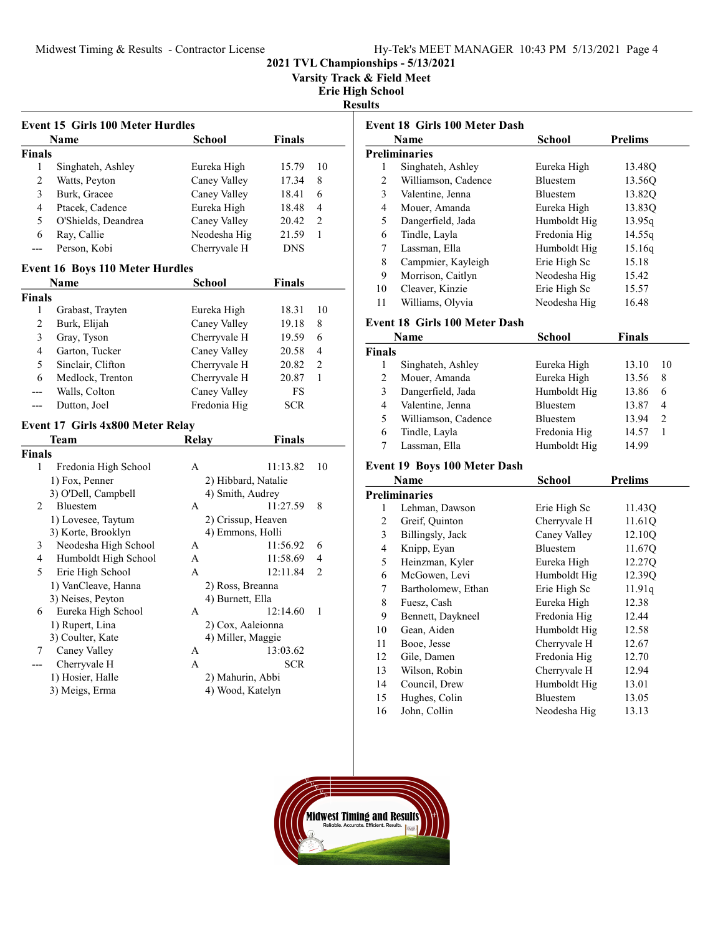Varsity Track & Field Meet

Erie High School

Results

|                | <b>Event 15 Girls 100 Meter Hurdles</b> |                                      |               |                |
|----------------|-----------------------------------------|--------------------------------------|---------------|----------------|
|                | <b>Name</b>                             | <b>School</b>                        | Finals        |                |
| <b>Finals</b>  |                                         |                                      |               |                |
| 1              | Singhateh, Ashley                       | Eureka High                          | 15.79         | 10             |
| $\overline{c}$ | Watts, Peyton                           | Caney Valley                         | 17.34         | 8              |
| 3              | Burk, Gracee                            | Caney Valley                         | 18.41         | 6              |
| 4              | Ptacek, Cadence                         | Eureka High                          | 18.48         | 4              |
| 5              | O'Shields, Deandrea                     | Caney Valley                         | 20.42         | 2              |
| 6              | Ray, Callie                             | Neodesha Hig                         | 21.59         | $\mathbf{1}$   |
| ---            | Person, Kobi                            | Cherryvale H                         | <b>DNS</b>    |                |
|                | <b>Event 16 Boys 110 Meter Hurdles</b>  |                                      |               |                |
|                | <b>Name</b>                             | <b>School</b>                        | <b>Finals</b> |                |
| <b>Finals</b>  |                                         |                                      |               |                |
| 1              | Grabast, Trayten                        | Eureka High                          | 18.31         | 10             |
| 2              | Burk, Elijah                            | Caney Valley                         | 19.18         | 8              |
| 3              | Gray, Tyson                             | Cherryvale H                         | 19.59         | 6              |
| 4              | Garton, Tucker                          | Caney Valley                         | 20.58         | $\overline{4}$ |
| 5              | Sinclair, Clifton                       | Cherryvale H                         | 20.82         | $\overline{2}$ |
| 6              | Medlock, Trenton                        | Cherryvale H                         | 20.87         | $\mathbf{1}$   |
|                |                                         |                                      |               |                |
| ---            |                                         |                                      |               |                |
| ---            | Walls, Colton                           | Caney Valley                         | FS            |                |
|                | Dutton, Joel                            | Fredonia Hig                         | <b>SCR</b>    |                |
|                | Event 17 Girls 4x800 Meter Relay        |                                      |               |                |
|                | Team                                    | <b>Relay</b>                         | Finals        |                |
|                |                                         |                                      |               |                |
| 1              | Fredonia High School                    | A                                    | 11:13.82      | 10             |
|                | 1) Fox, Penner                          | 2) Hibbard, Natalie                  |               |                |
|                | 3) O'Dell, Campbell                     | 4) Smith, Audrey                     |               |                |
| 2              | Bluestem                                | A                                    | 11:27.59      | 8              |
|                | 1) Lovesee, Taytum                      | 2) Crissup, Heaven                   |               |                |
|                | 3) Korte, Brooklyn                      | 4) Emmons, Holli                     |               |                |
| 3              | Neodesha High School                    | A                                    | 11:56.92      | 6              |
| 4              | Humboldt High School                    | A                                    | 11:58.69      | 4              |
| 5              | Erie High School                        | A                                    | 12:11.84      | $\overline{2}$ |
|                | 1) VanCleave, Hanna                     | 2) Ross, Breanna                     |               |                |
|                | 3) Neises, Peyton                       | 4) Burnett, Ella                     |               |                |
| 6              | Eureka High School                      | A                                    | 12:14.60      | 1              |
|                | 1) Rupert, Lina                         | 2) Cox, Aaleionna                    |               |                |
| <b>Finals</b>  | 3) Coulter, Kate                        | 4) Miller, Maggie                    |               |                |
| 7              | Caney Valley                            | A                                    | 13:03.62      |                |
| ---            | Cherryvale H                            | A                                    | <b>SCR</b>    |                |
|                | 1) Hosier, Halle<br>3) Meigs, Erma      | 2) Mahurin, Abbi<br>4) Wood, Katelyn |               |                |

|                | Event 18 Girls 100 Meter Dash        |                 |                       |
|----------------|--------------------------------------|-----------------|-----------------------|
|                | Name                                 | School          | <b>Prelims</b>        |
|                | Preliminaries                        |                 |                       |
| 1              | Singhateh, Ashley                    | Eureka High     | 13.48Q                |
| $\overline{c}$ | Williamson, Cadence                  | Bluestem        | 13.56Q                |
| 3              | Valentine, Jenna                     | Bluestem        | 13.82Q                |
| 4              | Mouer, Amanda                        | Eureka High     | 13.83Q                |
| 5              | Dangerfield, Jada                    | Humboldt Hig    | 13.95q                |
| 6              | Tindle, Layla                        | Fredonia Hig    | 14.55q                |
| $\tau$         | Lassman, Ella                        | Humboldt Hig    | 15.16q                |
| 8              | Campmier, Kayleigh                   | Erie High Sc    | 15.18                 |
| 9              | Morrison, Caitlyn                    | Neodesha Hig    | 15.42                 |
| 10             | Cleaver, Kinzie                      | Erie High Sc    | 15.57                 |
| 11             | Williams, Olyvia                     | Neodesha Hig    | 16.48                 |
|                | <b>Event 18 Girls 100 Meter Dash</b> |                 |                       |
|                | Name                                 | School          | <b>Finals</b>         |
| Finals         |                                      |                 |                       |
| 1              | Singhateh, Ashley                    | Eureka High     | 10<br>13.10           |
| $\overline{c}$ | Mouer, Amanda                        | Eureka High     | 13.56<br>8            |
| 3              | Dangerfield, Jada                    | Humboldt Hig    | 13.86<br>6            |
| 4              | Valentine, Jenna                     | Bluestem        | 4<br>13.87            |
| 5              | Williamson, Cadence                  | Bluestem        | 2<br>13.94            |
| 6              | Tindle, Layla                        | Fredonia Hig    | 14.57<br>$\mathbf{1}$ |
| 7              | Lassman, Ella                        | Humboldt Hig    | 14.99                 |
|                | <b>Event 19 Boys 100 Meter Dash</b>  |                 |                       |
|                | Name                                 | School          | <b>Prelims</b>        |
|                | <b>Preliminaries</b>                 |                 |                       |
| 1              | Lehman, Dawson                       | Erie High Sc    | 11.43Q                |
| $\overline{c}$ | Greif, Quinton                       | Cherryvale H    | 11.61Q                |
| $\overline{3}$ | Billingsly, Jack                     | Caney Valley    | 12.10Q                |
| 4              | Knipp, Eyan                          | Bluestem        | 11.67Q                |
| 5              | Heinzman, Kyler                      | Eureka High     | 12.27Q                |
| 6              | McGowen, Levi                        | Humboldt Hig    | 12.39Q                |
| 7              | Bartholomew, Ethan                   | Erie High Sc    | 11.91q                |
| 8              | Fuesz, Cash                          | Eureka High     | 12.38                 |
| 9              | Bennett, Daykneel                    | Fredonia Hig    | 12.44                 |
| 10             | Gean, Aiden                          | Humboldt Hig    | 12.58                 |
| 11             | Booe, Jesse                          | Cherryvale H    | 12.67                 |
| 12             | Gile, Damen                          | Fredonia Hig    | 12.70                 |
| 13             | Wilson, Robin                        | Cherryvale H    | 12.94                 |
| 14             | Council, Drew                        | Humboldt Hig    | 13.01                 |
| 15             | Hughes, Colin                        | <b>Bluestem</b> | 13.05                 |
| 16             | John, Collin                         | Neodesha Hig    | 13.13                 |

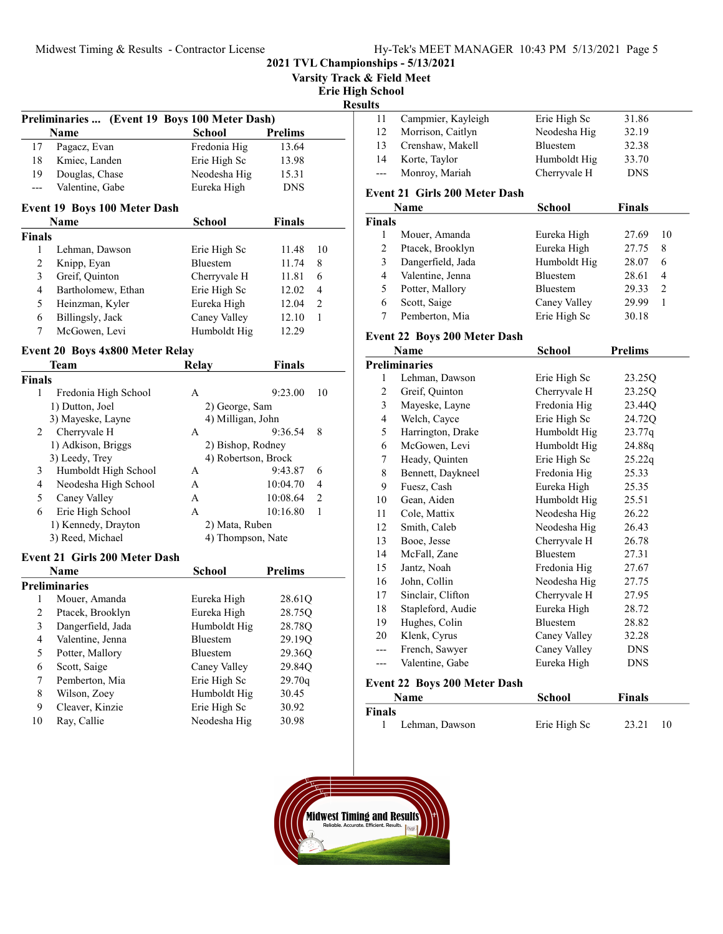| Hy-Tek's MEET MANAGER 10:43 PM 5/13/2021 Page 5 |  |  |
|-------------------------------------------------|--|--|
| nships - 5/13/2021                              |  |  |

|                         | Midwest Timing & Results - Contractor License |                                     |                |                |                            | Hy-Tek's MEET MANAGER 10:43 PM 5/13/2021 Page 5 |               |                |
|-------------------------|-----------------------------------------------|-------------------------------------|----------------|----------------|----------------------------|-------------------------------------------------|---------------|----------------|
|                         |                                               |                                     |                |                |                            | 2021 TVL Championships - 5/13/2021              |               |                |
|                         |                                               |                                     |                |                | Varsity Track & Field Meet |                                                 |               |                |
|                         |                                               |                                     |                |                | <b>Erie High School</b>    |                                                 |               |                |
|                         |                                               |                                     |                |                | <b>Results</b><br>11       | Campmier, Kayleigh                              | Erie High Sc  | 31.86          |
|                         | Preliminaries  (Event 19 Boys 100 Meter Dash) |                                     |                |                | 12                         | Morrison, Caitlyn                               | Neodesha Hig  | 32.19          |
|                         | Name                                          | <b>School</b>                       | <b>Prelims</b> |                | 13                         | Crenshaw, Makell                                | Bluestem      | 32.38          |
| 17                      | Pagacz, Evan                                  | Fredonia Hig                        | 13.64          |                | 14                         | Korte, Taylor                                   | Humboldt Hig  | 33.70          |
| 18                      | Kmiec, Landen                                 | Erie High Sc                        | 13.98          |                |                            | Monroy, Mariah                                  |               | <b>DNS</b>     |
| 19                      | Douglas, Chase                                | Neodesha Hig                        | 15.31          |                | ---                        |                                                 | Cherryvale H  |                |
| $---$                   | Valentine, Gabe                               | Eureka High                         | <b>DNS</b>     |                |                            | Event 21 Girls 200 Meter Dash                   |               |                |
|                         | Event 19 Boys 100 Meter Dash                  |                                     |                |                |                            | Name                                            | <b>School</b> | <b>Finals</b>  |
|                         | Name                                          | <b>School</b>                       | <b>Finals</b>  |                | <b>Finals</b>              |                                                 |               |                |
| <b>Finals</b>           |                                               |                                     |                |                | 1                          | Mouer, Amanda                                   | Eureka High   | 27.69          |
| 1                       | Lehman, Dawson                                | Erie High Sc                        | 11.48          | 10             | $\overline{c}$             | Ptacek, Brooklyn                                | Eureka High   | 27.75          |
| $\boldsymbol{2}$        | Knipp, Eyan                                   | Bluestem                            | 11.74          | 8              | 3                          | Dangerfield, Jada                               | Humboldt Hig  | 28.07          |
| 3                       | Greif, Quinton                                | Cherryvale H                        | 11.81          | 6              | 4                          | Valentine, Jenna                                | Bluestem      | 28.61          |
| 4                       | Bartholomew, Ethan                            | Erie High Sc                        | 12.02          | 4              | 5                          | Potter, Mallory                                 | Bluestem      | 29.33          |
| 5                       | Heinzman, Kyler                               | Eureka High                         | 12.04          | $\overline{2}$ | 6                          | Scott, Saige                                    | Caney Valley  | 29.99          |
| 6                       | Billingsly, Jack                              | Caney Valley                        | 12.10          | 1              | 7                          | Pemberton, Mia                                  | Erie High Sc  | 30.18          |
| 7                       | McGowen, Levi                                 | Humboldt Hig                        | 12.29          |                |                            |                                                 |               |                |
|                         |                                               |                                     |                |                |                            | <b>Event 22 Boys 200 Meter Dash</b>             |               | <b>Prelims</b> |
|                         | Event 20 Boys 4x800 Meter Relay               |                                     |                |                |                            | Name<br><b>Preliminaries</b>                    | <b>School</b> |                |
|                         | Team                                          | <b>Relay</b>                        | <b>Finals</b>  |                | 1                          | Lehman, Dawson                                  | Erie High Sc  | 23.25Q         |
| Finals                  |                                               | $\mathbf{A}$                        | 9:23.00        | 10             | $\overline{c}$             | Greif, Quinton                                  | Cherryvale H  | 23.25Q         |
| 1                       | Fredonia High School<br>1) Dutton, Joel       |                                     |                |                | 3                          | Mayeske, Layne                                  | Fredonia Hig  | 23.44Q         |
|                         | 3) Mayeske, Layne                             | 2) George, Sam<br>4) Milligan, John |                |                | $\overline{4}$             | Welch, Cayce                                    | Erie High Sc  | 24.72Q         |
| 2                       | Cherryvale H                                  | A                                   | 9:36.54        | 8              | 5                          | Harrington, Drake                               | Humboldt Hig  | 23.77q         |
|                         | 1) Adkison, Briggs                            | 2) Bishop, Rodney                   |                |                | 6                          | McGowen, Levi                                   | Humboldt Hig  | 24.88q         |
|                         | 3) Leedy, Trey                                | 4) Robertson, Brock                 |                |                | $\boldsymbol{7}$           | Heady, Quinten                                  | Erie High Sc  | 25.22q         |
| 3                       | Humboldt High School                          | A                                   | 9:43.87        | 6              | 8                          | Bennett, Daykneel                               | Fredonia Hig  | 25.33          |
| 4                       | Neodesha High School                          | A                                   | 10:04.70       | 4              | 9                          | Fuesz, Cash                                     | Eureka High   | 25.35          |
| 5                       | Caney Valley                                  | A                                   | 10:08.64       | 2              | 10                         | Gean, Aiden                                     | Humboldt Hig  | 25.51          |
| 6                       | Erie High School                              | A                                   | 10:16.80       | $\mathbf{1}$   | 11                         | Cole, Mattix                                    | Neodesha Hig  | 26.22          |
|                         | 1) Kennedy, Drayton                           | 2) Mata, Ruben                      |                |                | 12                         | Smith, Caleb                                    | Neodesha Hig  | 26.43          |
|                         | 3) Reed, Michael                              | 4) Thompson, Nate                   |                |                | 13                         | Booe, Jesse                                     | Cherryvale H  | 26.78          |
|                         |                                               |                                     |                |                | 14                         | McFall, Zane                                    | Bluestem      | 27.31          |
|                         | <b>Event 21 Girls 200 Meter Dash</b>          |                                     |                |                | 15                         | Jantz, Noah                                     | Fredonia Hig  | 27.67          |
|                         | Name                                          | <b>School</b>                       | <b>Prelims</b> |                | 16                         | John, Collin                                    | Neodesha Hig  | 27.75          |
|                         | <b>Preliminaries</b>                          |                                     |                |                | 17                         | Sinclair, Clifton                               | Cherryvale H  | 27.95          |
| 1                       | Mouer, Amanda                                 | Eureka High                         | 28.61Q         |                | 18                         | Stapleford, Audie                               | Eureka High   | 28.72          |
| $\overline{\mathbf{c}}$ | Ptacek, Brooklyn                              | Eureka High                         | 28.75Q         |                | 19                         | Hughes, Colin                                   | Bluestem      | 28.82          |
| 3                       | Dangerfield, Jada                             | Humboldt Hig                        | 28.78Q         |                | 20                         | Klenk, Cyrus                                    | Caney Valley  | 32.28          |
| 4                       | Valentine, Jenna                              | Bluestem                            | 29.19Q         |                | $\overline{\phantom{a}}$   | French, Sawyer                                  | Caney Valley  | <b>DNS</b>     |
| 5                       | Potter, Mallory                               | Bluestem                            | 29.36Q         |                | $---$                      | Valentine, Gabe                                 | Eureka High   | <b>DNS</b>     |
| 6                       | Scott, Saige                                  | Caney Valley                        | 29.84Q         |                |                            |                                                 |               |                |
| 7                       | Pemberton, Mia                                | Erie High Sc                        | 29.70q         |                |                            | Event 22 Boys 200 Meter Dash                    |               |                |
| 8                       | Wilson, Zoey                                  | Humboldt Hig                        | 30.45          |                |                            | <b>Name</b>                                     | <b>School</b> | <b>Finals</b>  |
| 9                       | Cleaver, Kinzie                               | Erie High Sc                        | 30.92          |                | <b>Finals</b>              |                                                 |               |                |
| 10                      | Ray, Callie                                   | Neodesha Hig                        | 30.98          |                | 1                          | Lehman, Dawson                                  | Erie High Sc  | 23.21          |
|                         |                                               |                                     |                |                |                            |                                                 |               |                |

| S     |                               |                 |            |  |
|-------|-------------------------------|-----------------|------------|--|
| 11    | Campmier, Kayleigh            | Erie High Sc    | 31.86      |  |
| 12    | Morrison, Caitlyn             | Neodesha Hig    | 32.19      |  |
| 13    | Crenshaw, Makell              | <b>Bluestem</b> | 32.38      |  |
| 14    | Korte, Taylor                 | Humboldt Hig    | 33.70      |  |
| $---$ | Monroy, Mariah                | Cherryvale H    | <b>DNS</b> |  |
|       | vent 21  Girls 200 Meter Dash |                 |            |  |

#### Event 21 Girls 200 Meter Dash

|               | Name              | <b>School</b>   | <b>Finals</b> |               |
|---------------|-------------------|-----------------|---------------|---------------|
| <b>Finals</b> |                   |                 |               |               |
|               | Mouer, Amanda     | Eureka High     | 27.69         | 10            |
| 2             | Ptacek, Brooklyn  | Eureka High     | 27.75         | 8             |
| 3             | Dangerfield, Jada | Humboldt Hig    | 28.07         | 6             |
| 4             | Valentine, Jenna  | <b>Bluestem</b> | 28.61         | 4             |
| 5             | Potter, Mallory   | Bluestem        | 29.33         | $\mathcal{L}$ |
| 6             | Scott, Saige      | Caney Valley    | 29.99         |               |
|               | Pemberton, Mia    | Erie High Sc    | 30.18         |               |

# Event 22 Boys 200 Meter Dash

|     | Name                 | School          | <b>Prelims</b> |
|-----|----------------------|-----------------|----------------|
|     | <b>Preliminaries</b> |                 |                |
| 1   | Lehman, Dawson       | Erie High Sc    | 23.25Q         |
| 2   | Greif, Quinton       | Cherryvale H    | 23.25Q         |
| 3   | Mayeske, Layne       | Fredonia Hig    | 23.44Q         |
| 4   | Welch, Cayce         | Erie High Sc    | 24.72Q         |
| 5   | Harrington, Drake    | Humboldt Hig    | 23.77q         |
| 6   | McGowen, Levi        | Humboldt Hig    | 24.88q         |
| 7   | Heady, Quinten       | Erie High Sc    | 25.22q         |
| 8   | Bennett, Daykneel    | Fredonia Hig    | 25.33          |
| 9   | Fuesz, Cash          | Eureka High     | 25.35          |
| 10  | Gean, Aiden          | Humboldt Hig    | 25.51          |
| 11  | Cole, Mattix         | Neodesha Hig    | 26.22          |
| 12  | Smith, Caleb         | Neodesha Hig    | 26.43          |
| 13  | Booe, Jesse          | Cherryvale H    | 26.78          |
| 14  | McFall, Zane         | <b>Bluestem</b> | 27.31          |
| 15  | Jantz, Noah          | Fredonia Hig    | 27.67          |
| 16  | John, Collin         | Neodesha Hig    | 27.75          |
| 17  | Sinclair, Clifton    | Cherryvale H    | 27.95          |
| 18  | Stapleford, Audie    | Eureka High     | 28.72          |
| 19  | Hughes, Colin        | <b>Bluestem</b> | 28.82          |
| 20  | Klenk, Cyrus         | Caney Valley    | 32.28          |
| --- | French, Sawyer       | Caney Valley    | <b>DNS</b>     |
| --- | Valentine, Gabe      | Eureka High     | <b>DNS</b>     |

# Event 22 Boys 200 Meter Dash

|        | <b>Name</b>    | School       | <b>Finals</b> |
|--------|----------------|--------------|---------------|
| Finals |                |              |               |
|        | Lehman, Dawson | Erie High Sc | 23.21<br>10   |

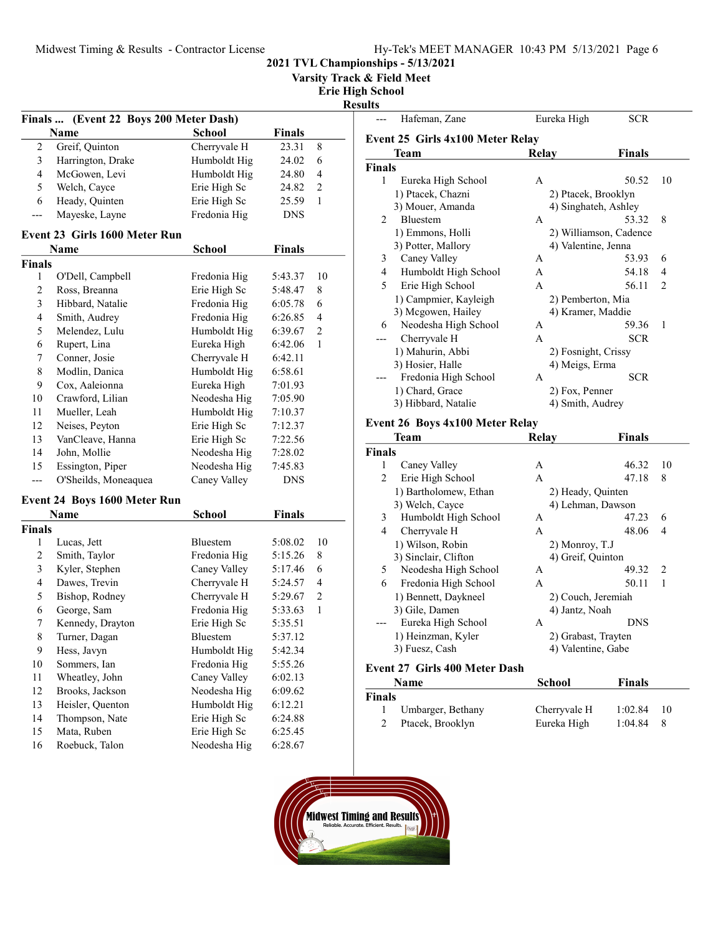| Hy-Tek's MEET MANAGER 10:43 PM 5/13/2021 Page 6 |  |  |  |
|-------------------------------------------------|--|--|--|
|-------------------------------------------------|--|--|--|

Varsity Track & Field Meet

Erie High School

Results

| <b>School</b><br><b>Finals</b><br><b>Name</b><br>Cherryvale H<br>23.31<br>2<br>Greif, Quinton<br>8<br>3<br>Harrington, Drake<br>Humboldt Hig<br>24.02<br>6<br>Humboldt Hig<br>4<br>McGowen, Levi<br>24.80<br>4<br>5<br>Erie High Sc<br>$\overline{c}$<br>Welch, Cayce<br>24.82<br>6<br>Heady, Quinten<br>Erie High Sc<br>1<br>25.59<br>Mayeske, Layne<br>Fredonia Hig<br><b>DNS</b><br>---<br>Event 23 Girls 1600 Meter Run<br><b>Name</b><br>School<br><b>Finals</b><br><b>Finals</b><br>Fredonia Hig<br>1<br>O'Dell, Campbell<br>5:43.37<br>10<br>2<br>Erie High Sc<br>Ross, Breanna<br>5:48.47<br>8<br>3<br>Hibbard, Natalie<br>Fredonia Hig<br>6<br>6:05.78<br>Fredonia Hig<br>4<br>Smith, Audrey<br>6:26.85<br>4<br>5<br>Melendez, Lulu<br>Humboldt Hig<br>6:39.67<br>2<br>6<br>Rupert, Lina<br>Eureka High<br>6:42.06<br>1<br>Conner, Josie<br>Cherryvale H<br>7<br>6:42.11<br>Humboldt Hig<br>8<br>Modlin, Danica<br>6:58.61<br>Eureka High<br>9<br>Cox, Aaleionna<br>7:01.93<br>10<br>Crawford, Lilian<br>Neodesha Hig<br>7:05.90<br>Mueller, Leah<br>Humboldt Hig<br>11<br>7:10.37<br>Erie High Sc<br>12<br>Neises, Peyton<br>7:12.37<br>VanCleave, Hanna<br>Erie High Sc<br>13<br>7:22.56<br>John, Mollie<br>Neodesha Hig<br>14<br>7:28.02<br>Essington, Piper<br>Neodesha Hig<br>15<br>7:45.83<br>O'Sheilds, Moneaquea<br>Caney Valley<br><b>DNS</b><br>---<br><b>Event 24 Boys 1600 Meter Run</b><br><b>School</b><br><b>Finals</b><br>Name<br><b>Finals</b><br>1<br>Lucas, Jett<br>Bluestem<br>5:08.02<br>10<br>2<br>Smith, Taylor<br>Fredonia Hig<br>5:15.26<br>8<br>3<br>Kyler, Stephen<br>Caney Valley<br>6<br>5:17.46<br>Dawes, Trevin<br>Cherryvale H<br>4<br>4<br>5:24.57<br>Cherryvale H<br>5<br>Bishop, Rodney<br>2<br>5:29.67<br>George, Sam<br>Fredonia Hig<br>6<br>1<br>5:33.63<br>Kennedy, Drayton<br>Erie High Sc<br>7<br>5:35.51<br>8<br>Turner, Dagan<br>Bluestem<br>5:37.12<br>9<br>Humboldt Hig<br>5:42.34<br>Hess, Javyn<br>10<br>Fredonia Hig<br>Sommers, Ian<br>5:55.26<br>11<br>Wheatley, John<br>Caney Valley<br>6:02.13<br>12<br>Brooks, Jackson<br>Neodesha Hig<br>6:09.62<br>13<br>Heisler, Quenton<br>Humboldt Hig<br>6:12.21<br>14<br>Erie High Sc<br>Thompson, Nate<br>6:24.88<br>15<br>Mata, Ruben<br>Erie High Sc<br>6:25.45<br>16<br>6:28.67 | Finals  (Event 22 Boys 200 Meter Dash) |              |  |  |  |  |
|------------------------------------------------------------------------------------------------------------------------------------------------------------------------------------------------------------------------------------------------------------------------------------------------------------------------------------------------------------------------------------------------------------------------------------------------------------------------------------------------------------------------------------------------------------------------------------------------------------------------------------------------------------------------------------------------------------------------------------------------------------------------------------------------------------------------------------------------------------------------------------------------------------------------------------------------------------------------------------------------------------------------------------------------------------------------------------------------------------------------------------------------------------------------------------------------------------------------------------------------------------------------------------------------------------------------------------------------------------------------------------------------------------------------------------------------------------------------------------------------------------------------------------------------------------------------------------------------------------------------------------------------------------------------------------------------------------------------------------------------------------------------------------------------------------------------------------------------------------------------------------------------------------------------------------------------------------------------------------------------------------------------------------------------------------------------------------------------------------------------------------------------------------------------------------------------------------------------------------------------------------------------------------------|----------------------------------------|--------------|--|--|--|--|
|                                                                                                                                                                                                                                                                                                                                                                                                                                                                                                                                                                                                                                                                                                                                                                                                                                                                                                                                                                                                                                                                                                                                                                                                                                                                                                                                                                                                                                                                                                                                                                                                                                                                                                                                                                                                                                                                                                                                                                                                                                                                                                                                                                                                                                                                                          |                                        |              |  |  |  |  |
|                                                                                                                                                                                                                                                                                                                                                                                                                                                                                                                                                                                                                                                                                                                                                                                                                                                                                                                                                                                                                                                                                                                                                                                                                                                                                                                                                                                                                                                                                                                                                                                                                                                                                                                                                                                                                                                                                                                                                                                                                                                                                                                                                                                                                                                                                          |                                        |              |  |  |  |  |
|                                                                                                                                                                                                                                                                                                                                                                                                                                                                                                                                                                                                                                                                                                                                                                                                                                                                                                                                                                                                                                                                                                                                                                                                                                                                                                                                                                                                                                                                                                                                                                                                                                                                                                                                                                                                                                                                                                                                                                                                                                                                                                                                                                                                                                                                                          |                                        |              |  |  |  |  |
|                                                                                                                                                                                                                                                                                                                                                                                                                                                                                                                                                                                                                                                                                                                                                                                                                                                                                                                                                                                                                                                                                                                                                                                                                                                                                                                                                                                                                                                                                                                                                                                                                                                                                                                                                                                                                                                                                                                                                                                                                                                                                                                                                                                                                                                                                          |                                        |              |  |  |  |  |
|                                                                                                                                                                                                                                                                                                                                                                                                                                                                                                                                                                                                                                                                                                                                                                                                                                                                                                                                                                                                                                                                                                                                                                                                                                                                                                                                                                                                                                                                                                                                                                                                                                                                                                                                                                                                                                                                                                                                                                                                                                                                                                                                                                                                                                                                                          |                                        |              |  |  |  |  |
|                                                                                                                                                                                                                                                                                                                                                                                                                                                                                                                                                                                                                                                                                                                                                                                                                                                                                                                                                                                                                                                                                                                                                                                                                                                                                                                                                                                                                                                                                                                                                                                                                                                                                                                                                                                                                                                                                                                                                                                                                                                                                                                                                                                                                                                                                          |                                        |              |  |  |  |  |
|                                                                                                                                                                                                                                                                                                                                                                                                                                                                                                                                                                                                                                                                                                                                                                                                                                                                                                                                                                                                                                                                                                                                                                                                                                                                                                                                                                                                                                                                                                                                                                                                                                                                                                                                                                                                                                                                                                                                                                                                                                                                                                                                                                                                                                                                                          |                                        |              |  |  |  |  |
|                                                                                                                                                                                                                                                                                                                                                                                                                                                                                                                                                                                                                                                                                                                                                                                                                                                                                                                                                                                                                                                                                                                                                                                                                                                                                                                                                                                                                                                                                                                                                                                                                                                                                                                                                                                                                                                                                                                                                                                                                                                                                                                                                                                                                                                                                          |                                        |              |  |  |  |  |
|                                                                                                                                                                                                                                                                                                                                                                                                                                                                                                                                                                                                                                                                                                                                                                                                                                                                                                                                                                                                                                                                                                                                                                                                                                                                                                                                                                                                                                                                                                                                                                                                                                                                                                                                                                                                                                                                                                                                                                                                                                                                                                                                                                                                                                                                                          |                                        |              |  |  |  |  |
|                                                                                                                                                                                                                                                                                                                                                                                                                                                                                                                                                                                                                                                                                                                                                                                                                                                                                                                                                                                                                                                                                                                                                                                                                                                                                                                                                                                                                                                                                                                                                                                                                                                                                                                                                                                                                                                                                                                                                                                                                                                                                                                                                                                                                                                                                          |                                        |              |  |  |  |  |
|                                                                                                                                                                                                                                                                                                                                                                                                                                                                                                                                                                                                                                                                                                                                                                                                                                                                                                                                                                                                                                                                                                                                                                                                                                                                                                                                                                                                                                                                                                                                                                                                                                                                                                                                                                                                                                                                                                                                                                                                                                                                                                                                                                                                                                                                                          |                                        |              |  |  |  |  |
|                                                                                                                                                                                                                                                                                                                                                                                                                                                                                                                                                                                                                                                                                                                                                                                                                                                                                                                                                                                                                                                                                                                                                                                                                                                                                                                                                                                                                                                                                                                                                                                                                                                                                                                                                                                                                                                                                                                                                                                                                                                                                                                                                                                                                                                                                          |                                        |              |  |  |  |  |
|                                                                                                                                                                                                                                                                                                                                                                                                                                                                                                                                                                                                                                                                                                                                                                                                                                                                                                                                                                                                                                                                                                                                                                                                                                                                                                                                                                                                                                                                                                                                                                                                                                                                                                                                                                                                                                                                                                                                                                                                                                                                                                                                                                                                                                                                                          |                                        |              |  |  |  |  |
|                                                                                                                                                                                                                                                                                                                                                                                                                                                                                                                                                                                                                                                                                                                                                                                                                                                                                                                                                                                                                                                                                                                                                                                                                                                                                                                                                                                                                                                                                                                                                                                                                                                                                                                                                                                                                                                                                                                                                                                                                                                                                                                                                                                                                                                                                          |                                        |              |  |  |  |  |
|                                                                                                                                                                                                                                                                                                                                                                                                                                                                                                                                                                                                                                                                                                                                                                                                                                                                                                                                                                                                                                                                                                                                                                                                                                                                                                                                                                                                                                                                                                                                                                                                                                                                                                                                                                                                                                                                                                                                                                                                                                                                                                                                                                                                                                                                                          |                                        |              |  |  |  |  |
|                                                                                                                                                                                                                                                                                                                                                                                                                                                                                                                                                                                                                                                                                                                                                                                                                                                                                                                                                                                                                                                                                                                                                                                                                                                                                                                                                                                                                                                                                                                                                                                                                                                                                                                                                                                                                                                                                                                                                                                                                                                                                                                                                                                                                                                                                          |                                        |              |  |  |  |  |
|                                                                                                                                                                                                                                                                                                                                                                                                                                                                                                                                                                                                                                                                                                                                                                                                                                                                                                                                                                                                                                                                                                                                                                                                                                                                                                                                                                                                                                                                                                                                                                                                                                                                                                                                                                                                                                                                                                                                                                                                                                                                                                                                                                                                                                                                                          |                                        |              |  |  |  |  |
|                                                                                                                                                                                                                                                                                                                                                                                                                                                                                                                                                                                                                                                                                                                                                                                                                                                                                                                                                                                                                                                                                                                                                                                                                                                                                                                                                                                                                                                                                                                                                                                                                                                                                                                                                                                                                                                                                                                                                                                                                                                                                                                                                                                                                                                                                          |                                        |              |  |  |  |  |
|                                                                                                                                                                                                                                                                                                                                                                                                                                                                                                                                                                                                                                                                                                                                                                                                                                                                                                                                                                                                                                                                                                                                                                                                                                                                                                                                                                                                                                                                                                                                                                                                                                                                                                                                                                                                                                                                                                                                                                                                                                                                                                                                                                                                                                                                                          |                                        |              |  |  |  |  |
|                                                                                                                                                                                                                                                                                                                                                                                                                                                                                                                                                                                                                                                                                                                                                                                                                                                                                                                                                                                                                                                                                                                                                                                                                                                                                                                                                                                                                                                                                                                                                                                                                                                                                                                                                                                                                                                                                                                                                                                                                                                                                                                                                                                                                                                                                          |                                        |              |  |  |  |  |
|                                                                                                                                                                                                                                                                                                                                                                                                                                                                                                                                                                                                                                                                                                                                                                                                                                                                                                                                                                                                                                                                                                                                                                                                                                                                                                                                                                                                                                                                                                                                                                                                                                                                                                                                                                                                                                                                                                                                                                                                                                                                                                                                                                                                                                                                                          |                                        |              |  |  |  |  |
|                                                                                                                                                                                                                                                                                                                                                                                                                                                                                                                                                                                                                                                                                                                                                                                                                                                                                                                                                                                                                                                                                                                                                                                                                                                                                                                                                                                                                                                                                                                                                                                                                                                                                                                                                                                                                                                                                                                                                                                                                                                                                                                                                                                                                                                                                          |                                        |              |  |  |  |  |
|                                                                                                                                                                                                                                                                                                                                                                                                                                                                                                                                                                                                                                                                                                                                                                                                                                                                                                                                                                                                                                                                                                                                                                                                                                                                                                                                                                                                                                                                                                                                                                                                                                                                                                                                                                                                                                                                                                                                                                                                                                                                                                                                                                                                                                                                                          |                                        |              |  |  |  |  |
|                                                                                                                                                                                                                                                                                                                                                                                                                                                                                                                                                                                                                                                                                                                                                                                                                                                                                                                                                                                                                                                                                                                                                                                                                                                                                                                                                                                                                                                                                                                                                                                                                                                                                                                                                                                                                                                                                                                                                                                                                                                                                                                                                                                                                                                                                          |                                        |              |  |  |  |  |
|                                                                                                                                                                                                                                                                                                                                                                                                                                                                                                                                                                                                                                                                                                                                                                                                                                                                                                                                                                                                                                                                                                                                                                                                                                                                                                                                                                                                                                                                                                                                                                                                                                                                                                                                                                                                                                                                                                                                                                                                                                                                                                                                                                                                                                                                                          |                                        |              |  |  |  |  |
|                                                                                                                                                                                                                                                                                                                                                                                                                                                                                                                                                                                                                                                                                                                                                                                                                                                                                                                                                                                                                                                                                                                                                                                                                                                                                                                                                                                                                                                                                                                                                                                                                                                                                                                                                                                                                                                                                                                                                                                                                                                                                                                                                                                                                                                                                          |                                        |              |  |  |  |  |
|                                                                                                                                                                                                                                                                                                                                                                                                                                                                                                                                                                                                                                                                                                                                                                                                                                                                                                                                                                                                                                                                                                                                                                                                                                                                                                                                                                                                                                                                                                                                                                                                                                                                                                                                                                                                                                                                                                                                                                                                                                                                                                                                                                                                                                                                                          |                                        |              |  |  |  |  |
|                                                                                                                                                                                                                                                                                                                                                                                                                                                                                                                                                                                                                                                                                                                                                                                                                                                                                                                                                                                                                                                                                                                                                                                                                                                                                                                                                                                                                                                                                                                                                                                                                                                                                                                                                                                                                                                                                                                                                                                                                                                                                                                                                                                                                                                                                          |                                        |              |  |  |  |  |
|                                                                                                                                                                                                                                                                                                                                                                                                                                                                                                                                                                                                                                                                                                                                                                                                                                                                                                                                                                                                                                                                                                                                                                                                                                                                                                                                                                                                                                                                                                                                                                                                                                                                                                                                                                                                                                                                                                                                                                                                                                                                                                                                                                                                                                                                                          |                                        |              |  |  |  |  |
|                                                                                                                                                                                                                                                                                                                                                                                                                                                                                                                                                                                                                                                                                                                                                                                                                                                                                                                                                                                                                                                                                                                                                                                                                                                                                                                                                                                                                                                                                                                                                                                                                                                                                                                                                                                                                                                                                                                                                                                                                                                                                                                                                                                                                                                                                          |                                        |              |  |  |  |  |
|                                                                                                                                                                                                                                                                                                                                                                                                                                                                                                                                                                                                                                                                                                                                                                                                                                                                                                                                                                                                                                                                                                                                                                                                                                                                                                                                                                                                                                                                                                                                                                                                                                                                                                                                                                                                                                                                                                                                                                                                                                                                                                                                                                                                                                                                                          |                                        |              |  |  |  |  |
|                                                                                                                                                                                                                                                                                                                                                                                                                                                                                                                                                                                                                                                                                                                                                                                                                                                                                                                                                                                                                                                                                                                                                                                                                                                                                                                                                                                                                                                                                                                                                                                                                                                                                                                                                                                                                                                                                                                                                                                                                                                                                                                                                                                                                                                                                          |                                        |              |  |  |  |  |
|                                                                                                                                                                                                                                                                                                                                                                                                                                                                                                                                                                                                                                                                                                                                                                                                                                                                                                                                                                                                                                                                                                                                                                                                                                                                                                                                                                                                                                                                                                                                                                                                                                                                                                                                                                                                                                                                                                                                                                                                                                                                                                                                                                                                                                                                                          |                                        |              |  |  |  |  |
|                                                                                                                                                                                                                                                                                                                                                                                                                                                                                                                                                                                                                                                                                                                                                                                                                                                                                                                                                                                                                                                                                                                                                                                                                                                                                                                                                                                                                                                                                                                                                                                                                                                                                                                                                                                                                                                                                                                                                                                                                                                                                                                                                                                                                                                                                          |                                        |              |  |  |  |  |
|                                                                                                                                                                                                                                                                                                                                                                                                                                                                                                                                                                                                                                                                                                                                                                                                                                                                                                                                                                                                                                                                                                                                                                                                                                                                                                                                                                                                                                                                                                                                                                                                                                                                                                                                                                                                                                                                                                                                                                                                                                                                                                                                                                                                                                                                                          |                                        |              |  |  |  |  |
|                                                                                                                                                                                                                                                                                                                                                                                                                                                                                                                                                                                                                                                                                                                                                                                                                                                                                                                                                                                                                                                                                                                                                                                                                                                                                                                                                                                                                                                                                                                                                                                                                                                                                                                                                                                                                                                                                                                                                                                                                                                                                                                                                                                                                                                                                          |                                        |              |  |  |  |  |
|                                                                                                                                                                                                                                                                                                                                                                                                                                                                                                                                                                                                                                                                                                                                                                                                                                                                                                                                                                                                                                                                                                                                                                                                                                                                                                                                                                                                                                                                                                                                                                                                                                                                                                                                                                                                                                                                                                                                                                                                                                                                                                                                                                                                                                                                                          |                                        |              |  |  |  |  |
|                                                                                                                                                                                                                                                                                                                                                                                                                                                                                                                                                                                                                                                                                                                                                                                                                                                                                                                                                                                                                                                                                                                                                                                                                                                                                                                                                                                                                                                                                                                                                                                                                                                                                                                                                                                                                                                                                                                                                                                                                                                                                                                                                                                                                                                                                          |                                        |              |  |  |  |  |
|                                                                                                                                                                                                                                                                                                                                                                                                                                                                                                                                                                                                                                                                                                                                                                                                                                                                                                                                                                                                                                                                                                                                                                                                                                                                                                                                                                                                                                                                                                                                                                                                                                                                                                                                                                                                                                                                                                                                                                                                                                                                                                                                                                                                                                                                                          |                                        |              |  |  |  |  |
|                                                                                                                                                                                                                                                                                                                                                                                                                                                                                                                                                                                                                                                                                                                                                                                                                                                                                                                                                                                                                                                                                                                                                                                                                                                                                                                                                                                                                                                                                                                                                                                                                                                                                                                                                                                                                                                                                                                                                                                                                                                                                                                                                                                                                                                                                          |                                        |              |  |  |  |  |
|                                                                                                                                                                                                                                                                                                                                                                                                                                                                                                                                                                                                                                                                                                                                                                                                                                                                                                                                                                                                                                                                                                                                                                                                                                                                                                                                                                                                                                                                                                                                                                                                                                                                                                                                                                                                                                                                                                                                                                                                                                                                                                                                                                                                                                                                                          |                                        |              |  |  |  |  |
|                                                                                                                                                                                                                                                                                                                                                                                                                                                                                                                                                                                                                                                                                                                                                                                                                                                                                                                                                                                                                                                                                                                                                                                                                                                                                                                                                                                                                                                                                                                                                                                                                                                                                                                                                                                                                                                                                                                                                                                                                                                                                                                                                                                                                                                                                          |                                        |              |  |  |  |  |
|                                                                                                                                                                                                                                                                                                                                                                                                                                                                                                                                                                                                                                                                                                                                                                                                                                                                                                                                                                                                                                                                                                                                                                                                                                                                                                                                                                                                                                                                                                                                                                                                                                                                                                                                                                                                                                                                                                                                                                                                                                                                                                                                                                                                                                                                                          |                                        |              |  |  |  |  |
|                                                                                                                                                                                                                                                                                                                                                                                                                                                                                                                                                                                                                                                                                                                                                                                                                                                                                                                                                                                                                                                                                                                                                                                                                                                                                                                                                                                                                                                                                                                                                                                                                                                                                                                                                                                                                                                                                                                                                                                                                                                                                                                                                                                                                                                                                          |                                        |              |  |  |  |  |
|                                                                                                                                                                                                                                                                                                                                                                                                                                                                                                                                                                                                                                                                                                                                                                                                                                                                                                                                                                                                                                                                                                                                                                                                                                                                                                                                                                                                                                                                                                                                                                                                                                                                                                                                                                                                                                                                                                                                                                                                                                                                                                                                                                                                                                                                                          | Roebuck, Talon                         | Neodesha Hig |  |  |  |  |

|                               | Hafeman, Zane                    |                | Eureka High            | <b>SCR</b>    |                |  |
|-------------------------------|----------------------------------|----------------|------------------------|---------------|----------------|--|
|                               | Event 25 Girls 4x100 Meter Relay |                |                        |               |                |  |
|                               | Team                             | Relay          |                        | <b>Finals</b> |                |  |
| Finals                        |                                  |                |                        |               |                |  |
| 1                             | Eureka High School               | A              |                        | 50.52         | 10             |  |
|                               | 1) Ptacek, Chazni                |                | 2) Ptacek, Brooklyn    |               |                |  |
|                               | 3) Mouer, Amanda                 |                | 4) Singhateh, Ashley   |               |                |  |
| $\mathfrak{D}_{\mathfrak{p}}$ | <b>Bluestem</b>                  | A              |                        | 53.32         | 8              |  |
|                               | 1) Emmons, Holli                 |                | 2) Williamson, Cadence |               |                |  |
|                               | 3) Potter, Mallory               |                | 4) Valentine, Jenna    |               |                |  |
| 3                             | Caney Valley                     | A              |                        | 53.93         | 6              |  |
| $\overline{4}$                | Humboldt High School             | $\mathsf{A}$   |                        | 54.18         | 4              |  |
| 5                             | Erie High School                 | $\overline{A}$ |                        | 56.11         | $\mathfrak{D}$ |  |
|                               | 1) Campmier, Kayleigh            |                | 2) Pemberton, Mia      |               |                |  |
|                               | 3) Mcgowen, Hailey               |                | 4) Kramer, Maddie      |               |                |  |
| 6                             | Neodesha High School             | A              |                        | 59.36         | 1              |  |
|                               | Cherryvale H                     | A              |                        | <b>SCR</b>    |                |  |
|                               | 1) Mahurin, Abbi                 |                | 2) Fosnight, Crissy    |               |                |  |
|                               | 3) Hosier, Halle                 |                | 4) Meigs, Erma         |               |                |  |
|                               | Fredonia High School             | A              |                        | <b>SCR</b>    |                |  |
|                               | 1) Chard, Grace                  |                | 2) Fox, Penner         |               |                |  |
|                               | 3) Hibbard, Natalie              |                | 4) Smith, Audrey       |               |                |  |
|                               |                                  |                |                        |               |                |  |

# Event 26 Boys 4x100 Meter Relay

|               | Team                  | Relay             | <b>Finals</b>       |    |
|---------------|-----------------------|-------------------|---------------------|----|
| <b>Finals</b> |                       |                   |                     |    |
| 1             | Caney Valley          | А                 | 46.32               | 10 |
| 2             | Erie High School      | A                 | 47.18               | 8  |
|               | 1) Bartholomew, Ethan |                   | 2) Heady, Quinten   |    |
|               | 3) Welch, Cayce       | 4) Lehman, Dawson |                     |    |
| 3             | Humboldt High School  | A                 | 47.23               | 6  |
| 4             | Cherryvale H          | A                 | 48.06               | 4  |
|               | 1) Wilson, Robin      | 2) Monroy, T.J    |                     |    |
|               | 3) Sinclair, Clifton  |                   | 4) Greif, Quinton   |    |
| 5             | Neodesha High School  | A                 | 49.32               | 2  |
| 6             | Fredonia High School  | A                 | 50.11               | 1  |
|               | 1) Bennett, Daykneel  |                   | 2) Couch, Jeremiah  |    |
|               | 3) Gile, Damen        | 4) Jantz, Noah    |                     |    |
|               | Eureka High School    | A                 | <b>DNS</b>          |    |
|               | 1) Heinzman, Kyler    |                   | 2) Grabast, Trayten |    |
|               | 3) Fuesz, Cash        |                   | 4) Valentine, Gabe  |    |
|               |                       |                   |                     |    |

## Event 27 Girls 400 Meter Dash

|               | <b>Name</b>       | School       | <b>Finals</b> |    |
|---------------|-------------------|--------------|---------------|----|
| <b>Finals</b> |                   |              |               |    |
|               | Umbarger, Bethany | Cherryvale H | 1:02.84       | 10 |
|               | Ptacek, Brooklyn  | Eureka High  | 1:04.84       | 8  |

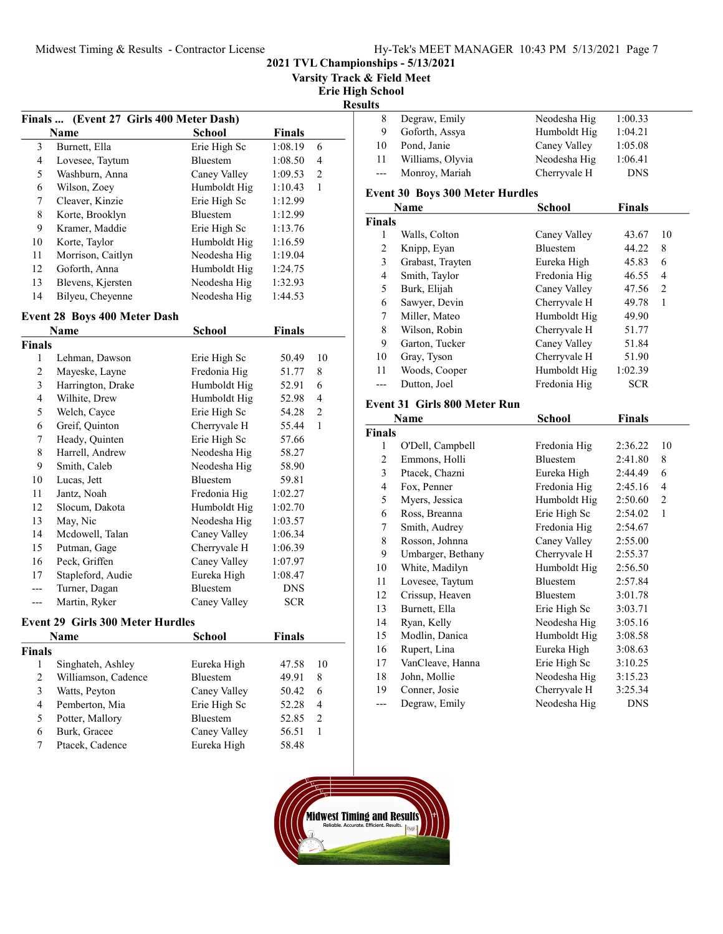2021 TVL Championships - 5/13/2021

Varsity Track & Field Meet

#### Erie High School Results

|    | Finals  (Event 27 Girls 400 Meter Dash) |                 |         |   |  |
|----|-----------------------------------------|-----------------|---------|---|--|
|    | Name                                    | <b>School</b>   | Finals  |   |  |
| 3  | Burnett, Ella                           | Erie High Sc    | 1:08.19 | 6 |  |
| 4  | Lovesee, Taytum                         | <b>Bluestem</b> | 1:08.50 | 4 |  |
| 5  | Washburn, Anna                          | Caney Valley    | 1:09.53 | 2 |  |
| 6  | Wilson, Zoey                            | Humboldt Hig    | 1:10.43 | 1 |  |
| 7  | Cleaver, Kinzie                         | Erie High Sc    | 1:12.99 |   |  |
| 8  | Korte, Brooklyn                         | <b>Bluestem</b> | 1:12.99 |   |  |
| 9  | Kramer, Maddie                          | Erie High Sc    | 1:13.76 |   |  |
| 10 | Korte, Taylor                           | Humboldt Hig    | 1:16.59 |   |  |
| 11 | Morrison, Caitlyn                       | Neodesha Hig    | 1:19.04 |   |  |
| 12 | Goforth, Anna                           | Humboldt Hig    | 1:24.75 |   |  |
| 13 | Blevens, Kjersten                       | Neodesha Hig    | 1:32.93 |   |  |
| 14 | Bilyeu, Cheyenne                        | Neodesha Hig    | 1:44.53 |   |  |
|    |                                         |                 |         |   |  |

### Event 28 Boys 400 Meter Dash

|        | Name                             | School          | <b>Finals</b> |              |
|--------|----------------------------------|-----------------|---------------|--------------|
| Finals |                                  |                 |               |              |
| 1      | Lehman, Dawson                   | Erie High Sc    | 50.49         | 10           |
| 2      | Mayeske, Layne                   | Fredonia Hig    | 51.77         | 8            |
| 3      | Harrington, Drake                | Humboldt Hig    | 52.91         | 6            |
| 4      | Wilhite, Drew                    | Humboldt Hig    | 52.98         | 4            |
| 5      | Welch, Cayce                     | Erie High Sc    | 54.28         | 2            |
| 6      | Greif, Quinton                   | Cherryvale H    | 55.44         | $\mathbf{1}$ |
| 7      | Heady, Quinten                   | Erie High Sc    | 57.66         |              |
| 8      | Harrell, Andrew                  | Neodesha Hig    | 58.27         |              |
| 9      | Smith, Caleb                     | Neodesha Hig    | 58.90         |              |
| 10     | Lucas, Jett                      | <b>Bluestem</b> | 59.81         |              |
| 11     | Jantz, Noah                      | Fredonia Hig    | 1:02.27       |              |
| 12     | Slocum, Dakota                   | Humboldt Hig    | 1:02.70       |              |
| 13     | May, Nic                         | Neodesha Hig    | 1:03.57       |              |
| 14     | Mcdowell, Talan                  | Caney Valley    | 1:06.34       |              |
| 15     | Putman, Gage                     | Cherryvale H    | 1:06.39       |              |
| 16     | Peck, Griffen                    | Caney Valley    | 1:07.97       |              |
| 17     | Stapleford, Audie                | Eureka High     | 1:08.47       |              |
|        | Turner, Dagan                    | <b>Bluestem</b> | <b>DNS</b>    |              |
| ---    | Martin, Ryker                    | Caney Valley    | <b>SCR</b>    |              |
|        | Event 29 Girls 300 Meter Hurdles |                 |               |              |
|        | Name                             | School          | Finals        |              |

| Finals |                     |                 |       |               |
|--------|---------------------|-----------------|-------|---------------|
|        | Singhateh, Ashley   | Eureka High     | 47.58 | 10            |
|        | Williamson, Cadence | <b>Bluestem</b> | 49.91 | 8             |
|        | Watts, Peyton       | Caney Valley    | 50.42 | 6             |
| 4      | Pemberton, Mia      | Erie High Sc    | 52.28 | 4             |
|        | Potter, Mallory     | <b>Bluestem</b> | 52.85 | $\mathcal{D}$ |
| 6      | Burk, Gracee        | Caney Valley    | 56.51 |               |
|        | Ptacek, Cadence     | Eureka High     | 58.48 |               |
|        |                     |                 |       |               |

| 8      | Degraw, Emily                          | Neodesha Hig    | 1:00.33    |    |
|--------|----------------------------------------|-----------------|------------|----|
| 9      | Goforth, Assya                         | Humboldt Hig    | 1:04.21    |    |
| 10     | Pond, Janie                            | Caney Valley    | 1:05.08    |    |
| 11     | Williams, Olyvia                       | Neodesha Hig    | 1:06.41    |    |
| ---    | Monroy, Mariah                         | Cherryvale H    | <b>DNS</b> |    |
|        | <b>Event 30 Boys 300 Meter Hurdles</b> |                 |            |    |
|        | Name                                   | School          | Finals     |    |
| Finals |                                        |                 |            |    |
| 1      | Walls, Colton                          | Caney Valley    | 43.67      | 10 |
| 2      | Knipp, Eyan                            | <b>Bluestem</b> | 44.22      | 8  |
| 3      | Grabast, Trayten                       | Eureka High     | 45.83      | 6  |
| 4      | Smith, Taylor                          | Fredonia Hig    | 46.55      | 4  |
| 5      | Burk, Elijah                           | Caney Valley    | 47.56      | 2  |
| 6      | Sawyer, Devin                          | Cherryvale H    | 49.78      | 1  |
| 7      | Miller, Mateo                          | Humboldt Hig    | 49.90      |    |
| 8      | Wilson, Robin                          | Cherryvale H    | 51.77      |    |
| 9      | Garton, Tucker                         | Caney Valley    | 51.84      |    |
| 10     | Gray, Tyson                            | Cherryvale H    | 51.90      |    |
| 11     | Woods, Cooper                          | Humboldt Hig    | 1:02.39    |    |

--- Dutton, Joel Fredonia Hig SCR

#### Event 31 Girls 800 Meter Run

|               | Name              | School          | <b>Finals</b> |    |
|---------------|-------------------|-----------------|---------------|----|
| <b>Finals</b> |                   |                 |               |    |
| 1             | O'Dell, Campbell  | Fredonia Hig    | 2:36.22       | 10 |
| 2             | Emmons, Holli     | <b>Bluestem</b> | 2:41.80       | 8  |
| 3             | Ptacek, Chazni    | Eureka High     | 2:44.49       | 6  |
| 4             | Fox, Penner       | Fredonia Hig    | 2:45.16       | 4  |
| 5             | Myers, Jessica    | Humboldt Hig    | 2:50.60       | 2  |
| 6             | Ross, Breanna     | Erie High Sc    | 2:54.02       | 1  |
| 7             | Smith, Audrey     | Fredonia Hig    | 2:54.67       |    |
| 8             | Rosson, Johnna    | Caney Valley    | 2:55.00       |    |
| 9             | Umbarger, Bethany | Cherryvale H    | 2:55.37       |    |
| 10            | White, Madilyn    | Humboldt Hig    | 2:56.50       |    |
| 11            | Lovesee, Taytum   | <b>Bluestem</b> | 2:57.84       |    |
| 12            | Crissup, Heaven   | Bluestem        | 3:01.78       |    |
| 13            | Burnett, Ella     | Erie High Sc    | 3:03.71       |    |
| 14            | Ryan, Kelly       | Neodesha Hig    | 3:05.16       |    |
| 15            | Modlin, Danica    | Humboldt Hig    | 3:08.58       |    |
| 16            | Rupert, Lina      | Eureka High     | 3:08.63       |    |
| 17            | VanCleave, Hanna  | Erie High Sc    | 3:10.25       |    |
| 18            | John, Mollie      | Neodesha Hig    | 3:15.23       |    |
| 19            | Conner, Josie     | Cherryvale H    | 3:25.34       |    |
| ---           | Degraw, Emily     | Neodesha Hig    | <b>DNS</b>    |    |

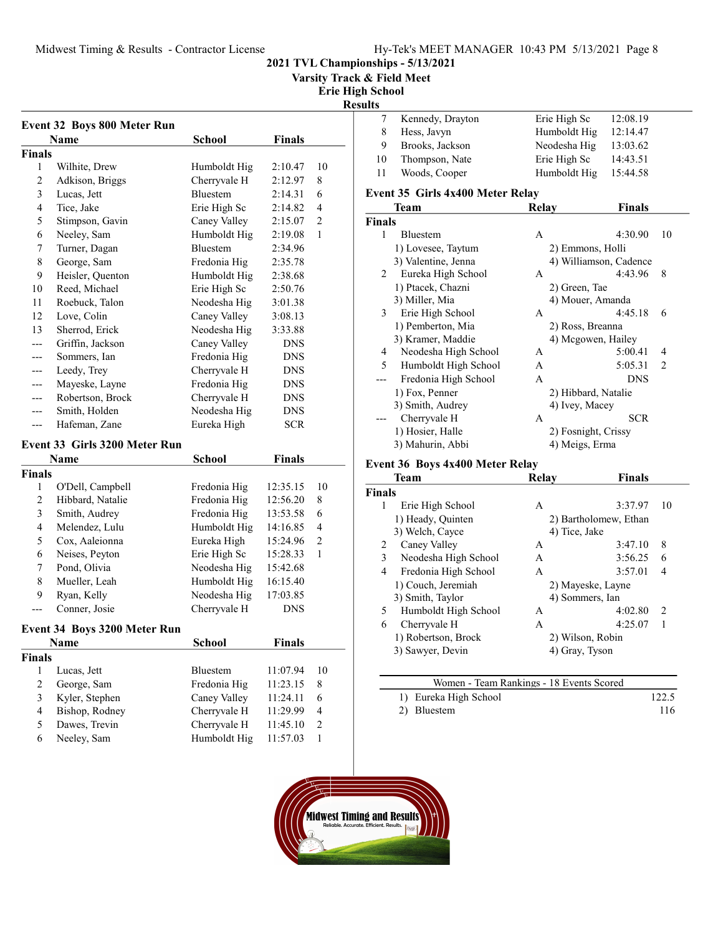Varsity Track & Field Meet

Erie High School

# Results

|               | Name             | School          | Finals     |                |
|---------------|------------------|-----------------|------------|----------------|
| <b>Finals</b> |                  |                 |            |                |
| 1             | Wilhite, Drew    | Humboldt Hig    | 2:10.47    | 10             |
| 2             | Adkison, Briggs  | Cherryvale H    | 2:12.97    | 8              |
| 3             | Lucas, Jett      | <b>Bluestem</b> | 2:14.31    | 6              |
| 4             | Tice, Jake       | Erie High Sc    | 2:14.82    | 4              |
| 5             | Stimpson, Gavin  | Caney Valley    | 2:15.07    | $\overline{2}$ |
| 6             | Neeley, Sam      | Humboldt Hig    | 2:19.08    | 1              |
| 7             | Turner, Dagan    | <b>Bluestem</b> | 2:34.96    |                |
| 8             | George, Sam      | Fredonia Hig    | 2:35.78    |                |
| 9             | Heisler, Quenton | Humboldt Hig    | 2:38.68    |                |
| 10            | Reed, Michael    | Erie High Sc    | 2:50.76    |                |
| 11            | Roebuck, Talon   | Neodesha Hig    | 3:01.38    |                |
| 12            | Love, Colin      | Caney Valley    | 3:08.13    |                |
| 13            | Sherrod, Erick   | Neodesha Hig    | 3:33.88    |                |
|               | Griffin, Jackson | Caney Valley    | <b>DNS</b> |                |
|               | Sommers, Ian     | Fredonia Hig    | <b>DNS</b> |                |
| ---           | Leedy, Trey      | Cherryvale H    | <b>DNS</b> |                |
|               | Mayeske, Layne   | Fredonia Hig    | <b>DNS</b> |                |
|               | Robertson, Brock | Cherryvale H    | <b>DNS</b> |                |
| ---           | Smith, Holden    | Neodesha Hig    | <b>DNS</b> |                |
| ---           | Hafeman, Zane    | Eureka High     | <b>SCR</b> |                |

#### Event 33 Girls 3200 Meter Run

|        | Name             | School       | <b>Finals</b> |    |
|--------|------------------|--------------|---------------|----|
| Finals |                  |              |               |    |
| 1      | O'Dell, Campbell | Fredonia Hig | 12:35.15      | 10 |
| 2      | Hibbard, Natalie | Fredonia Hig | 12:56.20      | 8  |
| 3      | Smith, Audrey    | Fredonia Hig | 13:53.58      | 6  |
| 4      | Melendez, Lulu   | Humboldt Hig | 14:16.85      | 4  |
| 5      | Cox, Aaleionna   | Eureka High  | 15:24.96      | 2  |
| 6      | Neises, Peyton   | Erie High Sc | 15:28.33      |    |
| 7      | Pond, Olivia     | Neodesha Hig | 15:42.68      |    |
| 8      | Mueller, Leah    | Humboldt Hig | 16:15.40      |    |
| 9      | Ryan, Kelly      | Neodesha Hig | 17:03.85      |    |
|        | Conner, Josie    | Cherryvale H | DNS           |    |

#### Event 34 Boys 3200 Meter Run

|               | <b>Name</b>    | <b>School</b>   | <b>Finals</b> |               |
|---------------|----------------|-----------------|---------------|---------------|
| <b>Finals</b> |                |                 |               |               |
|               | Lucas, Jett    | <b>Bluestem</b> | 11:07.94      | 10            |
|               | George, Sam    | Fredonia Hig    | 11:23.15      | 8             |
| 3             | Kyler, Stephen | Caney Valley    | 11:24.11      | 6             |
| 4             | Bishop, Rodney | Cherryvale H    | 11:29.99      | 4             |
| 5             | Dawes, Trevin  | Cherryvale H    | 11:45.10      | $\mathcal{P}$ |
| 6             | Neeley, Sam    | Humboldt Hig    | 11:57.03      |               |
|               |                |                 |               |               |

|    | Kennedy, Drayton | Erie High Sc | 12:08.19 |
|----|------------------|--------------|----------|
| 8  | Hess, Javyn      | Humboldt Hig | 12:14.47 |
| 9  | Brooks, Jackson  | Neodesha Hig | 13:03.62 |
| 10 | Thompson, Nate   | Erie High Sc | 14:43.51 |
| 11 | Woods, Cooper    | Humboldt Hig | 15:44.58 |
|    |                  |              |          |

#### Event 35 Girls 4x400 Meter Relay

|               | <b>Team</b>          | Relay          | <b>Finals</b>             |
|---------------|----------------------|----------------|---------------------------|
| <b>Finals</b> |                      |                |                           |
| 1             | <b>Bluestem</b>      | A              | 4:30.90<br>10             |
|               | 1) Lovesee, Taytum   |                | 2) Emmons, Holli          |
|               | 3) Valentine, Jenna  |                | 4) Williamson, Cadence    |
| 2             | Eureka High School   | A              | 4:43.96<br>8              |
|               | 1) Ptacek, Chazni    | 2) Green, Tae  |                           |
|               | 3) Miller, Mia       |                | 4) Mouer, Amanda          |
| 3             | Erie High School     | A              | 4:45.18<br>6              |
|               | 1) Pemberton, Mia    |                | 2) Ross, Breanna          |
|               | 3) Kramer, Maddie    |                | 4) Mcgowen, Hailey        |
| 4             | Neodesha High School | A              | 5:00.41<br>4              |
| 5             | Humboldt High School | A              | 5:05.31<br>$\mathfrak{D}$ |
|               | Fredonia High School | A              | <b>DNS</b>                |
|               | 1) Fox, Penner       |                | 2) Hibbard, Natalie       |
|               | 3) Smith, Audrey     | 4) Ivey, Macey |                           |
|               | Cherryvale H         | A              | <b>SCR</b>                |
|               | 1) Hosier, Halle     |                | 2) Fosnight, Crissy       |
|               | 3) Mahurin, Abbi     | 4) Meigs, Erma |                           |
|               |                      |                |                           |

# Event 36 Boys  $4x400$  Meter Relay

|               | Team                 | <b>Relav</b>    | <b>Finals</b>         |                |
|---------------|----------------------|-----------------|-----------------------|----------------|
| <b>Finals</b> |                      |                 |                       |                |
| 1             | Erie High School     | A               | 3:37.97               | 10             |
|               | 1) Heady, Quinten    |                 | 2) Bartholomew, Ethan |                |
|               | 3) Welch, Cayce      | 4) Tice, Jake   |                       |                |
| 2             | Caney Valley         | A               | 3:47.10               | 8              |
| 3             | Neodesha High School | A               | 3:56.25               | 6              |
| 4             | Fredonia High School | A               | 3:57.01               | $\overline{4}$ |
|               | 1) Couch, Jeremiah   |                 | 2) Mayeske, Layne     |                |
|               | 3) Smith, Taylor     | 4) Sommers, Ian |                       |                |
| 5             | Humboldt High School | A               | 4:02.80               | 2              |
| 6             | Cherryvale H         | A               | 4:25.07               | 1              |
|               | 1) Robertson, Brock  |                 | 2) Wilson, Robin      |                |
|               | 3) Sawyer, Devin     | 4) Gray, Tyson  |                       |                |
|               |                      |                 |                       |                |

| Women - Team Rankings - 18 Events Scored |       |
|------------------------------------------|-------|
| 1) Eureka High School                    | 122.5 |
| 2) Bluestem                              | 116   |